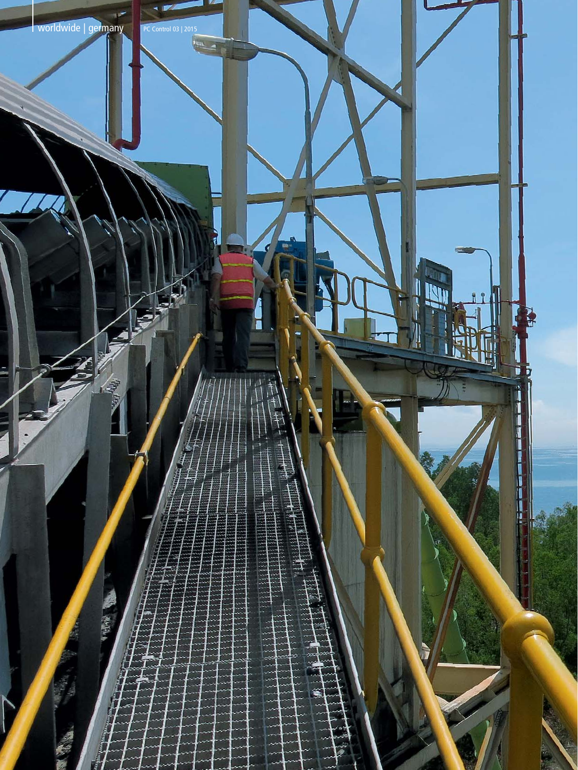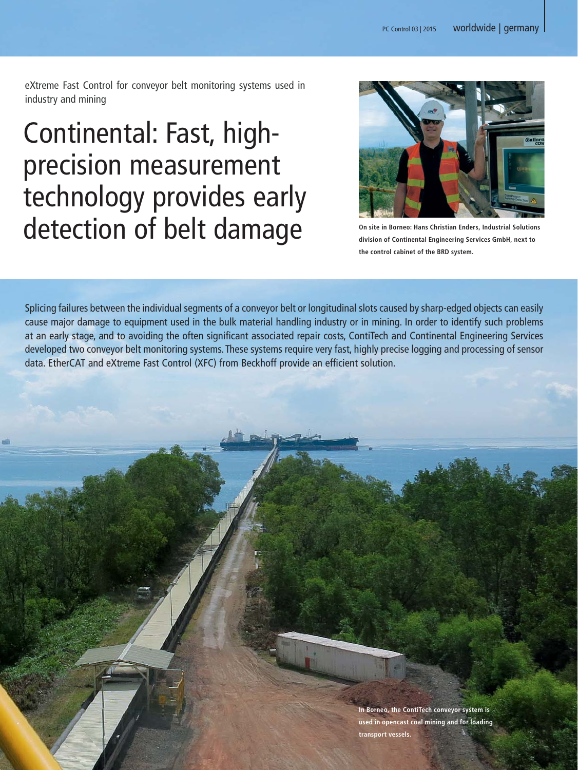eXtreme Fast Control for conveyor belt monitoring systems used in industry and mining

# Continental: Fast, highprecision measurement technology provides early detection of belt damage



**On site in Borneo: Hans Christian Enders, Industrial Solutions division of Continental Engineering Services GmbH, next to the control cabinet of the BRD system.**

Splicing failures between the individual segments of a conveyor belt or longitudinal slots caused by sharp-edged objects can easily cause major damage to equipment used in the bulk material handling industry or in mining. In order to identify such problems at an early stage, and to avoiding the often significant associated repair costs, ContiTech and Continental Engineering Services developed two conveyor belt monitoring systems. These systems require very fast, highly precise logging and processing of sensor data. EtherCAT and eXtreme Fast Control (XFC) from Beckhoff provide an efficient solution.

> **In Borneo, the ContiTech conveyor system is used in opencast coal mining and for loading transport vessels.**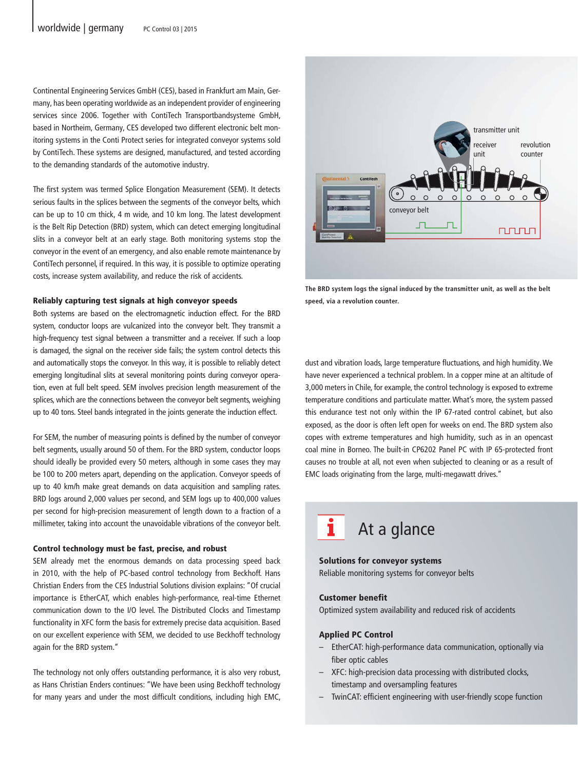Continental Engineering Services GmbH (CES), based in Frankfurt am Main, Germany, has been operating worldwide as an independent provider of engineering services since 2006. Together with ContiTech Transportbandsysteme GmbH, based in Northeim, Germany, CES developed two different electronic belt monitoring systems in the Conti Protect series for integrated conveyor systems sold by ContiTech. These systems are designed, manufactured, and tested according to the demanding standards of the automotive industry.

The first system was termed Splice Elongation Measurement (SEM). It detects serious faults in the splices between the segments of the conveyor belts, which can be up to 10 cm thick, 4 m wide, and 10 km long. The latest development is the Belt Rip Detection (BRD) system, which can detect emerging longitudinal slits in a conveyor belt at an early stage. Both monitoring systems stop the conveyor in the event of an emergency, and also enable remote maintenance by ContiTech personnel, if required. In this way, it is possible to optimize operating costs, increase system availability, and reduce the risk of accidents.

### Reliably capturing test signals at high conveyor speeds

Both systems are based on the electromagnetic induction effect. For the BRD system, conductor loops are vulcanized into the conveyor belt. They transmit a high-frequency test signal between a transmitter and a receiver. If such a loop is damaged, the signal on the receiver side fails; the system control detects this and automatically stops the conveyor. In this way, it is possible to reliably detect emerging longitudinal slits at several monitoring points during conveyor operation, even at full belt speed. SEM involves precision length measurement of the splices, which are the connections between the conveyor belt segments, weighing up to 40 tons. Steel bands integrated in the joints generate the induction effect.

For SEM, the number of measuring points is defined by the number of conveyor belt segments, usually around 50 of them. For the BRD system, conductor loops should ideally be provided every 50 meters, although in some cases they may be 100 to 200 meters apart, depending on the application. Conveyor speeds of up to 40 km/h make great demands on data acquisition and sampling rates. BRD logs around 2,000 values per second, and SEM logs up to 400,000 values per second for high-precision measurement of length down to a fraction of a millimeter, taking into account the unavoidable vibrations of the conveyor belt.

#### Control technology must be fast, precise, and robust

SEM already met the enormous demands on data processing speed back in 2010, with the help of PC-based control technology from Beckhoff. Hans Christian Enders from the CES Industrial Solutions division explains: "Of crucial importance is EtherCAT, which enables high-performance, real-time Ethernet communication down to the I/O level. The Distributed Clocks and Timestamp functionality in XFC form the basis for extremely precise data acquisition. Based on our excellent experience with SEM, we decided to use Beckhoff technology again for the BRD system."

The technology not only offers outstanding performance, it is also very robust, as Hans Christian Enders continues: "We have been using Beckhoff technology for many years and under the most difficult conditions, including high EMC,



**The BRD system logs the signal induced by the transmitter unit, as well as the belt speed, via a revolution counter.**

dust and vibration loads, large temperature fluctuations, and high humidity. We have never experienced a technical problem. In a copper mine at an altitude of 3,000 meters in Chile, for example, the control technology is exposed to extreme temperature conditions and particulate matter. What's more, the system passed this endurance test not only within the IP 67-rated control cabinet, but also exposed, as the door is often left open for weeks on end. The BRD system also copes with extreme temperatures and high humidity, such as in an opencast coal mine in Borneo. The built-in CP6202 Panel PC with IP 65-protected front causes no trouble at all, not even when subjected to cleaning or as a result of EMC loads originating from the large, multi-megawatt drives."

# At a glance

#### Solutions for conveyor systems

Reliable monitoring systems for conveyor belts

#### Customer benefit

Optimized system availability and reduced risk of accidents

## Applied PC Control

- EtherCAT: high-performance data communication, optionally via fiber optic cables
- XFC: high-precision data processing with distributed clocks, timestamp and oversampling features
- TwinCAT: efficient engineering with user-friendly scope function